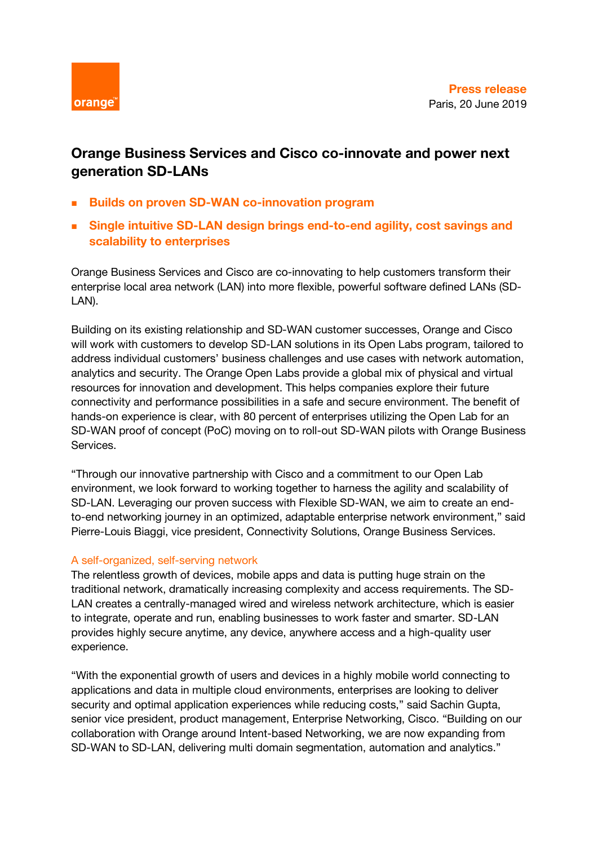

## **Orange Business Services and Cisco co-innovate and power next generation SD-LANs**

- **Builds on proven SD-WAN co-innovation program**
- **Single intuitive SD-LAN design brings end-to-end agility, cost savings and scalability to enterprises**

Orange Business Services and Cisco are co-innovating to help customers transform their enterprise local area network (LAN) into more flexible, powerful software defined LANs (SD-LAN).

Building on its existing relationship and SD-WAN customer successes, Orange and Cisco will work with customers to develop SD-LAN solutions in its Open Labs program, tailored to address individual customers' business challenges and use cases with network automation, analytics and security. The Orange Open Labs provide a global mix of physical and virtual resources for innovation and development. This helps companies explore their future connectivity and performance possibilities in a safe and secure environment. The benefit of hands-on experience is clear, with 80 percent of enterprises utilizing the Open Lab for an SD-WAN proof of concept (PoC) moving on to roll-out SD-WAN pilots with Orange Business Services.

"Through our innovative partnership with Cisco and a commitment to our Open Lab environment, we look forward to working together to harness the agility and scalability of SD-LAN. Leveraging our proven success with Flexible SD-WAN, we aim to create an endto-end networking journey in an optimized, adaptable enterprise network environment," said Pierre-Louis Biaggi, vice president, Connectivity Solutions, Orange Business Services.

## A self-organized, self-serving network

The relentless growth of devices, mobile apps and data is putting huge strain on the traditional network, dramatically increasing complexity and access requirements. The SD-LAN creates a centrally-managed wired and wireless network architecture, which is easier to integrate, operate and run, enabling businesses to work faster and smarter. SD-LAN provides highly secure anytime, any device, anywhere access and a high-quality user experience.

"With the exponential growth of users and devices in a highly mobile world connecting to applications and data in multiple cloud environments, enterprises are looking to deliver security and optimal application experiences while reducing costs," said Sachin Gupta, senior vice president, product management, Enterprise Networking, Cisco. "Building on our collaboration with Orange around Intent-based Networking, we are now expanding from SD-WAN to SD-LAN, delivering multi domain segmentation, automation and analytics."